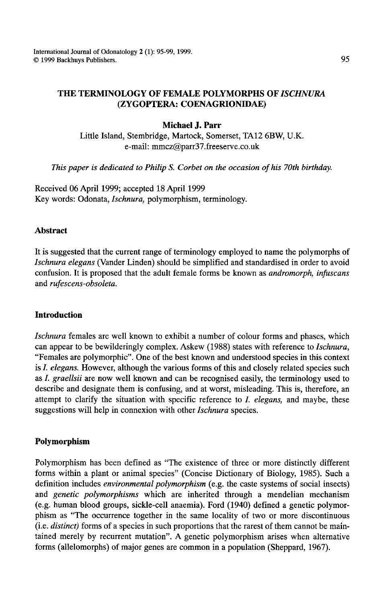# **Michael J. Parr**

Little Island, Stembridge, Martock, Somerset, TA12 6BW, U.K. e-mail: mmcz@parr37.freeserve.co.uk

*This paper is dedicated to Philip S. Corbet on the occasion of his 70th birthday.* 

Received 06 April 1999; accepted 18 April 1999 Key words: Odonata, *Ischnura,* polymorphism, terminology.

## **Abstract**

It is suggested that the current range of terminology employed to name the polymorphs of *Ischnura elegans* (Vander Linden) should be simplified and standardised in order to avoid confusion. It is proposed that the adult female forms be known as *andromorph, infuscans*  and *rufescens-obsoleta.* 

### **Introduction**

*Ischnura* females are well known to exhibit a number of colour forms and phases, which can appear to be bewilderingly complex. Askew (1988) states with reference to *Ischnura,*  "Females are polymorphic". One of the best known and understood species in this context is I. *elegans.* However, although the various forms of this and closely related species such as I. *graellsii* are now well known and can be recognised easily, the terminology used to describe and designate them is confusing, and at worst, misleading. This is, therefore, an attempt to clarify the situation with specific reference to *I. elegans,* and maybe, these suggestions will help in connexion with other *Ischnura* species.

# **Polymorphism**

Polymorphism has been defined as "The existence of three or more distinctly different forms within a plant or animal species" (Concise Dictionary of Biology, 1985). Such a definition includes *environmental polymorphism* (e.g. the caste systems of social insects) and *genetic polymorphisms* which are inherited through a mendelian mechanism (e.g. human blood groups, sickle-cell anaemia). Ford (1940) defined a genetic polymorphism as "The occurrence together in the same locality of two or more discontinuous (i.e. *distinct)* forms of a species in such proportions that the rarest of them cannot be maintained merely by recurrent mutation". A genetic polymorphism arises when alternative forms (allelomorphs) of major genes are common in a population (Sheppard, 1967).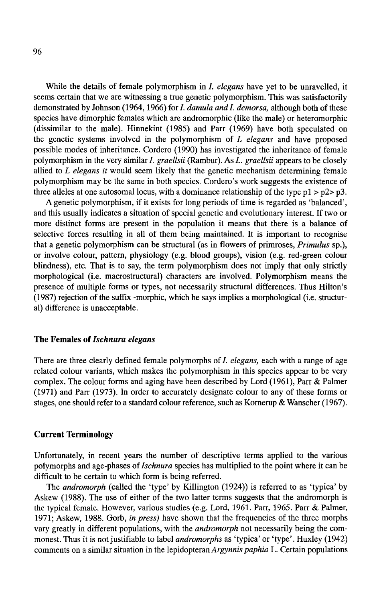While the details of female polymorphism in /. *elegans* have yet to be unravelled, it seems certain that we are witnessing a true genetic polymorphism. This was satisfactorily demonstrated by Johnson (1964, 1966) for *I. damula and I. demorsa*, although both of these species have dimorphic females which are andromorphic (like the male) or heteromorphic (dissimilar to the male). Hinnekint (1985) and Parr (1969) have both speculated on the genetic systems involved in the polymorphism of *L elegans* and have proposed possible modes of inheritance. Cordero (1990) has investigated the inheritance of female polymorphism in the very similar/. *graellsii* (Rambur). As L. *graellsii* appears to be closely allied to *L elegans it* would seem likely that the genetic mechanism determining female polymorphism may be the same in both species. Cordero's work suggests the existence of three alleles at one autosomal locus, with a dominance relationship of the type  $p1 > p2 > p3$ .

A genetic polymorphism, if it exists for long periods of time is regarded as 'balanced', and this usually indicates a situation of special genetic and evolutionary interest. If two or more distinct forms are present in the population it means that there is a balance of selective forces resulting in all of them being maintained. It is important to recognise that a genetic polymorphism can be structural (as in flowers of primroses, *Primulus* sp.), or involve colour, pattern, physiology (e.g. blood groups), vision (e.g. red-green colour blindness), etc. That is to say, the term polymorphism does not imply that only strictly morphological (i.e. macrostructural) characters are involved. Polymorphism means the presence of multiple forms or types, not necessarily structural differences. Thus Hilton's (1987) rejection of the suffix -morphic, which he says implies a morphological (i.e. structural) difference is unacceptable.

### The Females of *Ischnura elegans*

There are three clearly defined female polymorphs of *I. elegans*, each with a range of age related colour variants, which makes the polymorphism in this species appear to be very complex. The colour forms and aging have been described by Lord (1961), Parr & Palmer (1971) and Parr (1973). In order to accurately designate colour to any of these forms or stages, one should refer to a standard colour reference, such as Kornerup & Wanscher (1967).

#### Current Terminology

Unfortunately, in recent years the number of descriptive terms applied to the various polymorphs and age-phases of *Ischnura* species has multiplied to the point where it can be difficult to be certain to which form is being referred.

The *andromorph* (called the 'type' by Killington (1924)) is referred to as 'typica' by Askew (1988). The use of either of the two latter terms suggests that the andromorph is the typical female. However, various studies (e.g. Lord, 1961. Parr, 1965. Parr & Palmer, 1971; Askew, 1988. Gorb, *in press)* have shown that the frequencies of the three morphs vary greatly in different populations, with the *andromorph* not necessarily being the commonest. Thus it is not justifiable to label *andromorphs* as 'typica' or 'type'. Huxley (1942) comments on a similar situation in the lepidopteranArgynnis *paphia* L. Certain populations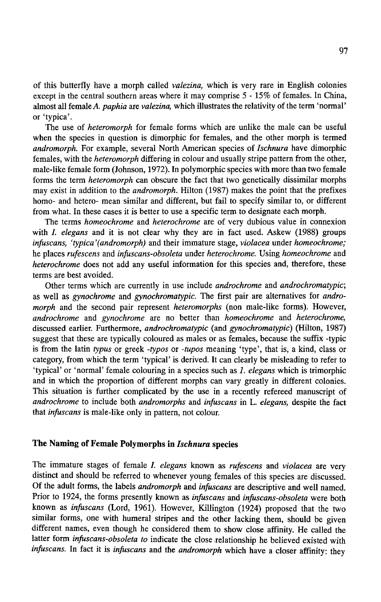of this butterfly have a morph called *valezina,* which is very rare in English colonies except in the central southern areas where it may comprise 5 - 15% of females. In China, almost all female *A. paphia* are *valezina,* which illustrates the relativity of the term 'normal' or 'typica'.

The use of *heteromorph* for female forms which are unlike the male can be useful when the species in question is dimorphic for females, and the other morph is termed *andromorph.* For example, several North American species of *lschnura* have dimorphic females, with the *heteromorph* differing in colour and usually stripe pattern from the other, male-like female form (Johnson, 1972). In polymorphic species with more than two female forms the term *heteromorph* can obscure the fact that two genetically dissimilar morphs may exist in addition to the *andromorph.* Hilton (1987) makes the point that the prefixes homo- and hetero- mean similar and different, but fail to specify similar to, or different from what. In these cases it is better to use a specific term to designate each morph.

The terms *homeochrome* and *heterochrome* are of very dubious value in connexion with I. *elegans* and it is not clear why they are in fact used. Askew (1988) groups *infuscans, 'typica'(andromorph)* and their immature stage, *violacea* under *homeochrome;*  he places *rufescens* and *infuscans-obsoleta* under *heterochrome.* Using *homeochrome* and *heterochrome* does not add any useful information for this species and, therefore, these terms are best avoided.

Other terms which are currently in use include *androchrome* and *androchromatypic;*  as well as *gynochrome* and *gynochromatypic.* The first pair are alternatives for *andromorph* and the second pair represent *heteromorphs* (non male-like forms). However, *androchrome* and *gynochrome* are no better than *homeochrome* and *heterochrome,*  discussed earlier. Furthermore, *androchromatypic* (and *gynochromatypic)* (Hilton, 1987) suggest that these are typically coloured as males or as females, because the suffix -typic is from the latin *typus* or greek *-typos* or *-tupos* meaning 'type', that is, a kind, class or category, from which the term 'typical' is derived. It can clearly be misleading to refer to 'typical' or 'normal' female colouring in a species such as *1. elegans* which is trimorphic and in which the proportion of different morphs can vary greatly in different colonies. This situation is further complicated by the use in a recently refereed manuscript of *androchrome* to include both *andromorphs* and *infuscans* in L. *elegans,* despite the fact that *infuscans* is male-like only in pattern, not colour.

#### **The Naming of Female Polymorphs in** *lschnura* species

The immature stages of female I. *elegans* known as *rufescens* and *violacea* are very distinct and should be referred to whenever young females of this species are discussed. Of the adult forms, the labels *andromorph* and *infuscans* are descriptive and well named. Prior to 1924, the forms presently known as *infuscans* and *infuscans-obsoleta* were both known as *infuscans* (Lord, 1961). However, Killington (1924) proposed that the two similar forms, one with humeral stripes and the other lacking them, should be given different names, even though he considered them to show close affinity. He called the latter form *infuscans-obsoleta to* indicate the close .relationship he believed existed with *infuscans.* In fact it is *infuscans* and the *andromorph* which have a closer affinity: they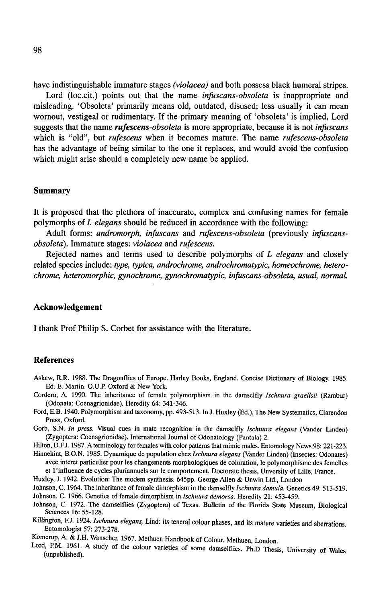have indistinguishable immature stages *(violacea)* and both possess black humeral stripes.

Lord (loc.cit.) points out that the name *infuscans-obsoleta* is inappropriate and misleading. 'Obsoleta' primarily means old, outdated, disused; less usually it can mean wornout, vestigeal or rudimentary. If the primary meaning of 'obsoleta' is implied, Lord suggests that the name *rufescens-obsoleta* is more appropriate, because it is not *infuscans*  which is "old", but *rufescens* when it becomes mature. The name *rufescens-obsoleta*  has the advantage of being similar to the one it replaces, and would avoid the confusion which might arise should a completely new name be applied.

#### **Summary**

It is proposed that the plethora of inaccurate, complex and confusing names for female polymorphs of *I. elegans* should be reduced in accordance with the following:

Adult forms: *andromorph, infuscans* and *rufescens-obsoleta* (previously *infuscansobsoleta).* Immature stages: *violacea* and *rufescens.* 

Rejected names and terms used to describe polymorphs of *L elegans* and closely related species include: *type, typica, androchrome, androchromatypic, homeochrome, heterochrome, heteromorphic, gynochrome, gynochromatypic, infuscans-obsoleta, usual, normal.* 

#### **Acknowledgement**

I thank Prof Philip S. Corbet for assistance with the literature.

#### **References**

- Askew, R.R. 1988. The Dragonflies of Europe. Harley Books, England. Concise Dictionary of Biology. 1985. Ed. E. Martin. O.U.P. Oxford & New York.
- Cordero, A 1990. The inheritance of female polymorphism in the damselfly *Ischnura graellsii* (Rambur) (Odonata: Coenagrionidae). Heredity 64: 341-346.
- Ford, E.B. 1940. Polymorphism and taxonomy, pp. 493-513. In J. Huxley (Ed.), The New Systematics, Clarendon Press, Oxford.
- Gorb, S.N. *In press.* Visual cues in mate recognition in the damselfly *Ischnura elegans* (Vander Linden) (Zygoptera: Coenagrionidae). International Journal of Odonatology (Pantala) 2.
- Hilton, D.F.J. 1987. A terminology for females with color patterns that mimic males. Entomology News 98: 221-223. Hinnekint, B.O.N. 1985. Dynamique de population chez *Ischnura elegans* (Vander Linden) (Insectes: Odonates)

avec interet particulier pour les changements morphologiques de coloration, le polymorphisme des femelles et !'influence de cycles pluriannuels sur le comportement. Doctorate thesis, Unversity of Lille, France.

- Huxley, J. 1942. Evolution: The modem synthesis. 645pp. George Allen & Unwin Ltd., London
- Johnson, C. 1964. The inheritance of female dimorphism in the damselfly *Ischnura damula.* Genetics 49: 513-519. Johnson, C. 1966. Genetics of female dimorphism in *Ischnura demorsa.* Heredity 21: 453-459.
- Johnson, C. 1972. The damselflies (Zygoptera) of Texas. Bulletin of the Florida State Museum, Biological Sciences 16: 55-128.
- Killington, F.J. 1924. *Ischnura elegans,* Lind: its teneral colour phases, and its mature varieties and aberrations. Entomologist 57: 273-278.

Komerup, A & J.H. Wanscher. 1967. Methuen Handbook of Colour. Methuen, London.

Lord, P.M. 1961. A study of the colour varieties of some damselflies. Ph.D Thesis, University of Wales (unpublished).